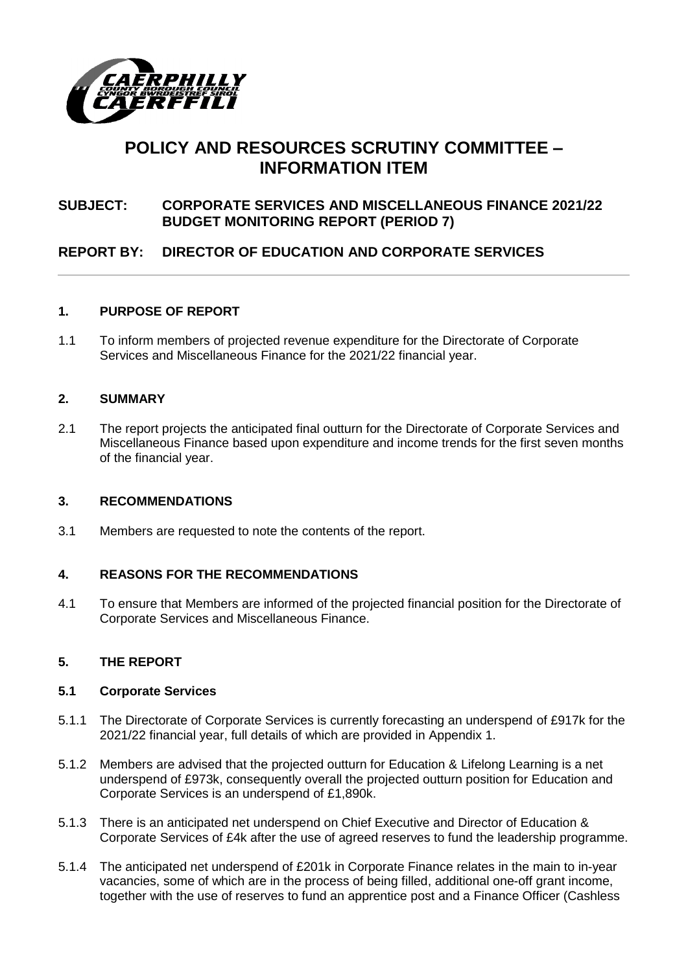

# **POLICY AND RESOURCES SCRUTINY COMMITTEE – INFORMATION ITEM**

# **SUBJECT: CORPORATE SERVICES AND MISCELLANEOUS FINANCE 2021/22 BUDGET MONITORING REPORT (PERIOD 7)**

# **REPORT BY: DIRECTOR OF EDUCATION AND CORPORATE SERVICES**

# **1. PURPOSE OF REPORT**

1.1 To inform members of projected revenue expenditure for the Directorate of Corporate Services and Miscellaneous Finance for the 2021/22 financial year.

# **2. SUMMARY**

2.1 The report projects the anticipated final outturn for the Directorate of Corporate Services and Miscellaneous Finance based upon expenditure and income trends for the first seven months of the financial year.

#### **3. RECOMMENDATIONS**

3.1 Members are requested to note the contents of the report.

# **4. REASONS FOR THE RECOMMENDATIONS**

4.1 To ensure that Members are informed of the projected financial position for the Directorate of Corporate Services and Miscellaneous Finance.

# **5. THE REPORT**

#### **5.1 Corporate Services**

- 5.1.1 The Directorate of Corporate Services is currently forecasting an underspend of £917k for the 2021/22 financial year, full details of which are provided in Appendix 1.
- 5.1.2 Members are advised that the projected outturn for Education & Lifelong Learning is a net underspend of £973k, consequently overall the projected outturn position for Education and Corporate Services is an underspend of £1,890k.
- 5.1.3 There is an anticipated net underspend on Chief Executive and Director of Education & Corporate Services of £4k after the use of agreed reserves to fund the leadership programme.
- 5.1.4 The anticipated net underspend of £201k in Corporate Finance relates in the main to in-year vacancies, some of which are in the process of being filled, additional one-off grant income, together with the use of reserves to fund an apprentice post and a Finance Officer (Cashless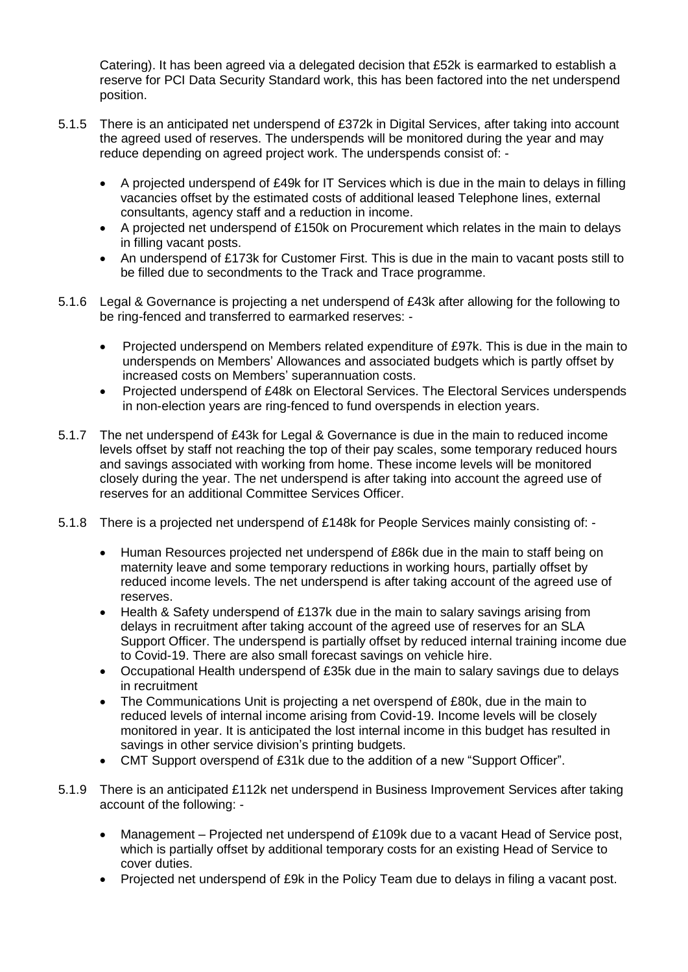Catering). It has been agreed via a delegated decision that £52k is earmarked to establish a reserve for PCI Data Security Standard work, this has been factored into the net underspend position.

- 5.1.5 There is an anticipated net underspend of £372k in Digital Services, after taking into account the agreed used of reserves. The underspends will be monitored during the year and may reduce depending on agreed project work. The underspends consist of: -
	- A projected underspend of £49k for IT Services which is due in the main to delays in filling vacancies offset by the estimated costs of additional leased Telephone lines, external consultants, agency staff and a reduction in income.
	- A projected net underspend of £150k on Procurement which relates in the main to delays in filling vacant posts.
	- An underspend of £173k for Customer First. This is due in the main to vacant posts still to be filled due to secondments to the Track and Trace programme.
- 5.1.6 Legal & Governance is projecting a net underspend of £43k after allowing for the following to be ring-fenced and transferred to earmarked reserves: -
	- Projected underspend on Members related expenditure of £97k. This is due in the main to underspends on Members' Allowances and associated budgets which is partly offset by increased costs on Members' superannuation costs.
	- Projected underspend of £48k on Electoral Services. The Electoral Services underspends in non-election years are ring-fenced to fund overspends in election years.
- 5.1.7 The net underspend of £43k for Legal & Governance is due in the main to reduced income levels offset by staff not reaching the top of their pay scales, some temporary reduced hours and savings associated with working from home. These income levels will be monitored closely during the year. The net underspend is after taking into account the agreed use of reserves for an additional Committee Services Officer.
- 5.1.8 There is a projected net underspend of £148k for People Services mainly consisting of:
	- Human Resources projected net underspend of £86k due in the main to staff being on maternity leave and some temporary reductions in working hours, partially offset by reduced income levels. The net underspend is after taking account of the agreed use of reserves.
	- Health & Safety underspend of £137k due in the main to salary savings arising from delays in recruitment after taking account of the agreed use of reserves for an SLA Support Officer. The underspend is partially offset by reduced internal training income due to Covid-19. There are also small forecast savings on vehicle hire.
	- Occupational Health underspend of £35k due in the main to salary savings due to delays in recruitment
	- The Communications Unit is projecting a net overspend of £80k, due in the main to reduced levels of internal income arising from Covid-19. Income levels will be closely monitored in year. It is anticipated the lost internal income in this budget has resulted in savings in other service division's printing budgets.
	- CMT Support overspend of £31k due to the addition of a new "Support Officer".
- 5.1.9 There is an anticipated £112k net underspend in Business Improvement Services after taking account of the following: -
	- Management Projected net underspend of £109k due to a vacant Head of Service post, which is partially offset by additional temporary costs for an existing Head of Service to cover duties.
	- Projected net underspend of £9k in the Policy Team due to delays in filing a vacant post.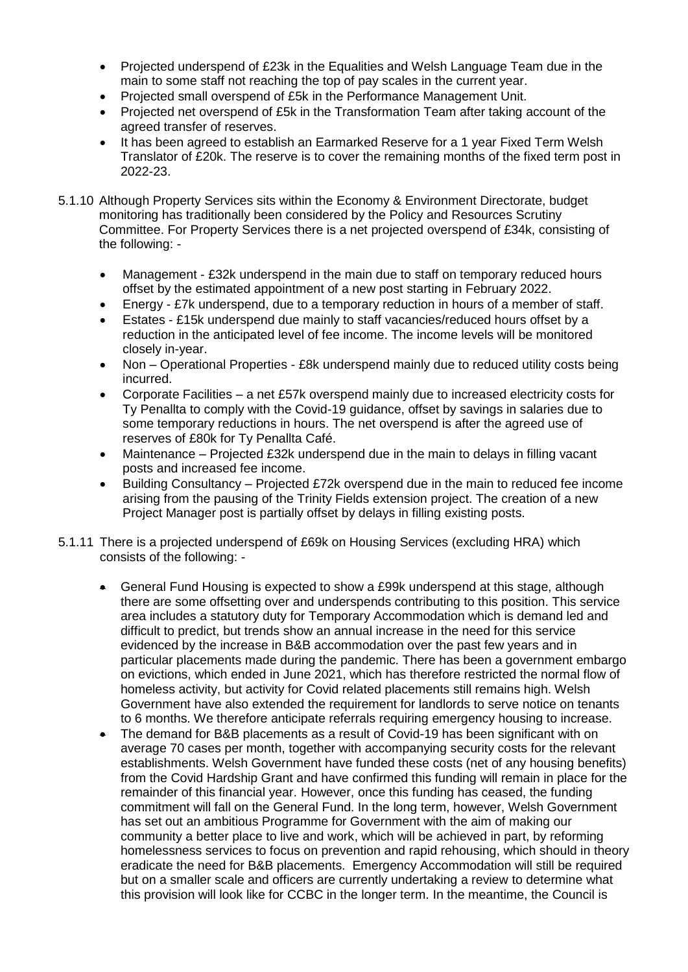- Projected underspend of £23k in the Equalities and Welsh Language Team due in the main to some staff not reaching the top of pay scales in the current year.
- Projected small overspend of £5k in the Performance Management Unit.
- Projected net overspend of £5k in the Transformation Team after taking account of the agreed transfer of reserves.
- It has been agreed to establish an Earmarked Reserve for a 1 year Fixed Term Welsh Translator of £20k. The reserve is to cover the remaining months of the fixed term post in 2022-23.
- 5.1.10 Although Property Services sits within the Economy & Environment Directorate, budget monitoring has traditionally been considered by the Policy and Resources Scrutiny Committee. For Property Services there is a net projected overspend of £34k, consisting of the following: -
	- Management £32k underspend in the main due to staff on temporary reduced hours offset by the estimated appointment of a new post starting in February 2022.
	- Energy £7k underspend, due to a temporary reduction in hours of a member of staff.
	- Estates £15k underspend due mainly to staff vacancies/reduced hours offset by a reduction in the anticipated level of fee income. The income levels will be monitored closely in-year.
	- Non Operational Properties £8k underspend mainly due to reduced utility costs being incurred.
	- Corporate Facilities a net £57k overspend mainly due to increased electricity costs for Ty Penallta to comply with the Covid-19 guidance, offset by savings in salaries due to some temporary reductions in hours. The net overspend is after the agreed use of reserves of £80k for Ty Penallta Café.
	- Maintenance Projected £32k underspend due in the main to delays in filling vacant posts and increased fee income.
	- Building Consultancy Projected £72k overspend due in the main to reduced fee income arising from the pausing of the Trinity Fields extension project. The creation of a new Project Manager post is partially offset by delays in filling existing posts.
- 5.1.11 There is a projected underspend of £69k on Housing Services (excluding HRA) which consists of the following: -
	- General Fund Housing is expected to show a £99k underspend at this stage, although there are some offsetting over and underspends contributing to this position. This service area includes a statutory duty for Temporary Accommodation which is demand led and difficult to predict, but trends show an annual increase in the need for this service evidenced by the increase in B&B accommodation over the past few years and in particular placements made during the pandemic. There has been a government embargo on evictions, which ended in June 2021, which has therefore restricted the normal flow of homeless activity, but activity for Covid related placements still remains high. Welsh Government have also extended the requirement for landlords to serve notice on tenants to 6 months. We therefore anticipate referrals requiring emergency housing to increase.
	- The demand for B&B placements as a result of Covid-19 has been significant with on average 70 cases per month, together with accompanying security costs for the relevant establishments. Welsh Government have funded these costs (net of any housing benefits) from the Covid Hardship Grant and have confirmed this funding will remain in place for the remainder of this financial year. However, once this funding has ceased, the funding commitment will fall on the General Fund. In the long term, however, Welsh Government has set out an ambitious Programme for Government with the aim of making our community a better place to live and work, which will be achieved in part, by reforming homelessness services to focus on prevention and rapid rehousing, which should in theory eradicate the need for B&B placements. Emergency Accommodation will still be required but on a smaller scale and officers are currently undertaking a review to determine what this provision will look like for CCBC in the longer term. In the meantime, the Council is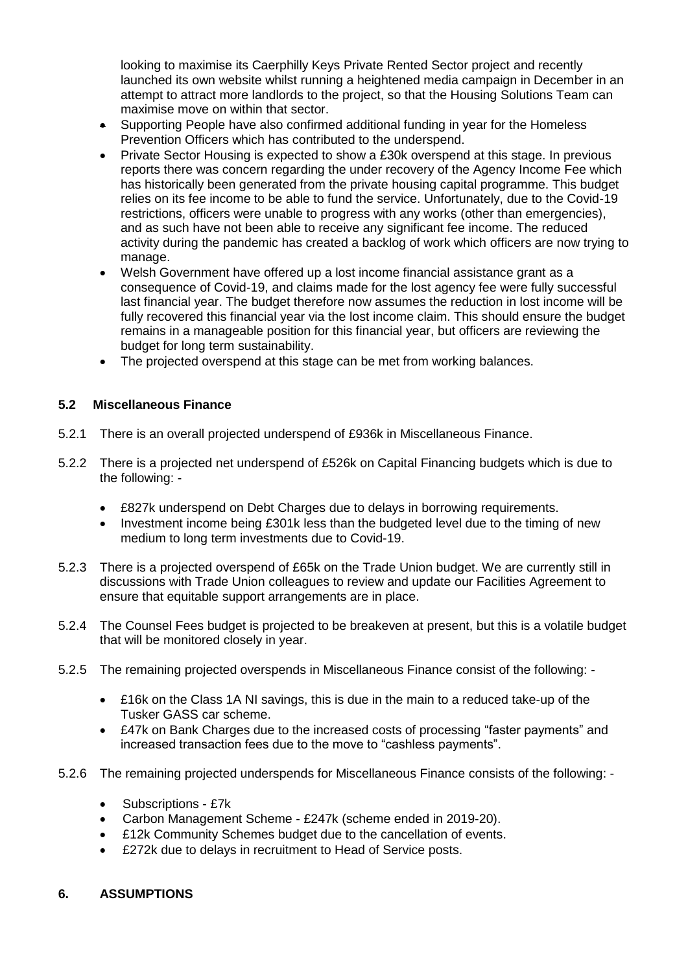looking to maximise its Caerphilly Keys Private Rented Sector project and recently launched its own website whilst running a heightened media campaign in December in an attempt to attract more landlords to the project, so that the Housing Solutions Team can maximise move on within that sector.

- Supporting People have also confirmed additional funding in year for the Homeless Prevention Officers which has contributed to the underspend.
- Private Sector Housing is expected to show a £30k overspend at this stage. In previous reports there was concern regarding the under recovery of the Agency Income Fee which has historically been generated from the private housing capital programme. This budget relies on its fee income to be able to fund the service. Unfortunately, due to the Covid-19 restrictions, officers were unable to progress with any works (other than emergencies), and as such have not been able to receive any significant fee income. The reduced activity during the pandemic has created a backlog of work which officers are now trying to manage.
- Welsh Government have offered up a lost income financial assistance grant as a consequence of Covid-19, and claims made for the lost agency fee were fully successful last financial year. The budget therefore now assumes the reduction in lost income will be fully recovered this financial year via the lost income claim. This should ensure the budget remains in a manageable position for this financial year, but officers are reviewing the budget for long term sustainability.
- The projected overspend at this stage can be met from working balances.

# **5.2 Miscellaneous Finance**

- 5.2.1 There is an overall projected underspend of £936k in Miscellaneous Finance.
- 5.2.2 There is a projected net underspend of £526k on Capital Financing budgets which is due to the following: -
	- £827k underspend on Debt Charges due to delays in borrowing requirements.
	- Investment income being £301k less than the budgeted level due to the timing of new medium to long term investments due to Covid-19.
- 5.2.3 There is a projected overspend of £65k on the Trade Union budget. We are currently still in discussions with Trade Union colleagues to review and update our Facilities Agreement to ensure that equitable support arrangements are in place.
- 5.2.4 The Counsel Fees budget is projected to be breakeven at present, but this is a volatile budget that will be monitored closely in year.
- 5.2.5 The remaining projected overspends in Miscellaneous Finance consist of the following:
	- £16k on the Class 1A NI savings, this is due in the main to a reduced take-up of the Tusker GASS car scheme.
	- £47k on Bank Charges due to the increased costs of processing "faster payments" and increased transaction fees due to the move to "cashless payments".
- 5.2.6 The remaining projected underspends for Miscellaneous Finance consists of the following:
	- Subscriptions £7k
	- Carbon Management Scheme £247k (scheme ended in 2019-20).
	- £12k Community Schemes budget due to the cancellation of events.
	- £272k due to delays in recruitment to Head of Service posts.

# **6. ASSUMPTIONS**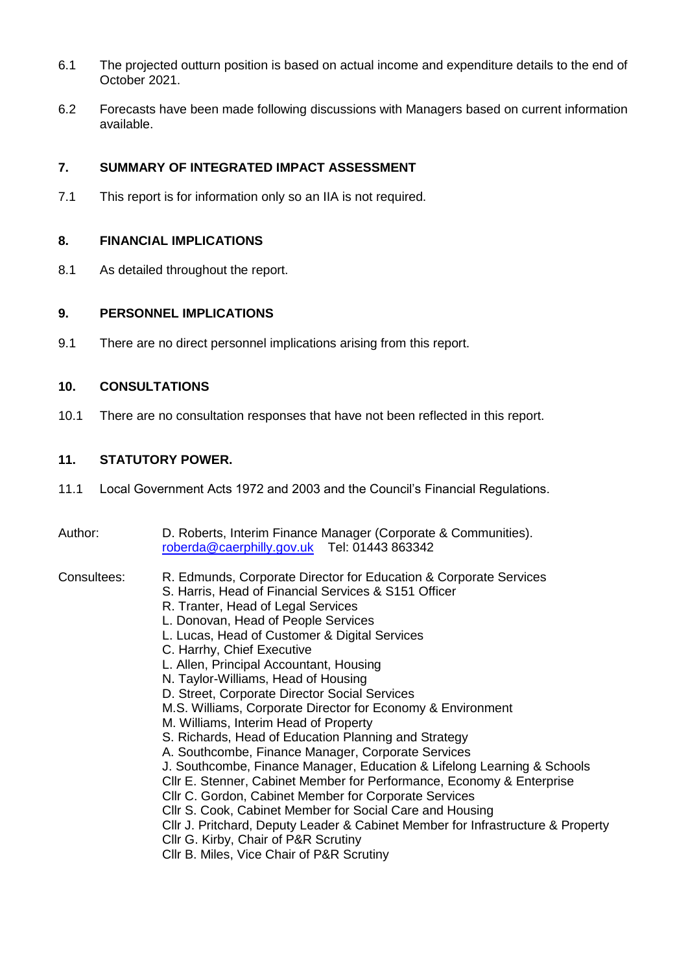- 6.1 The projected outturn position is based on actual income and expenditure details to the end of October 2021.
- 6.2 Forecasts have been made following discussions with Managers based on current information available.

# **7. SUMMARY OF INTEGRATED IMPACT ASSESSMENT**

7.1 This report is for information only so an IIA is not required.

#### **8. FINANCIAL IMPLICATIONS**

8.1 As detailed throughout the report.

#### **9. PERSONNEL IMPLICATIONS**

9.1 There are no direct personnel implications arising from this report.

# **10. CONSULTATIONS**

10.1 There are no consultation responses that have not been reflected in this report.

# **11. STATUTORY POWER.**

- 11.1 Local Government Acts 1972 and 2003 and the Council's Financial Regulations.
- Author: D. Roberts, Interim Finance Manager (Corporate & Communities). [roberda@caerphilly.gov.uk](mailto:roberda@caerphilly.gov.uk) Tel: 01443 863342

- Consultees: R. Edmunds, Corporate Director for Education & Corporate Services
	- S. Harris, Head of Financial Services & S151 Officer
	- R. Tranter, Head of Legal Services
	- L. Donovan, Head of People Services
	- L. Lucas, Head of Customer & Digital Services
	- C. Harrhy, Chief Executive
	- L. Allen, Principal Accountant, Housing
	- N. Taylor-Williams, Head of Housing
	- D. Street, Corporate Director Social Services
	- M.S. Williams, Corporate Director for Economy & Environment
	- M. Williams, Interim Head of Property
	- S. Richards, Head of Education Planning and Strategy
	- A. Southcombe, Finance Manager, Corporate Services
	- J. Southcombe, Finance Manager, Education & Lifelong Learning & Schools
	- Cllr E. Stenner, Cabinet Member for Performance, Economy & Enterprise
	- Cllr C. Gordon, Cabinet Member for Corporate Services
	- Cllr S. Cook, Cabinet Member for Social Care and Housing
	- Cllr J. Pritchard, Deputy Leader & Cabinet Member for Infrastructure & Property
	- Cllr G. Kirby, Chair of P&R Scrutiny
	- Cllr B. Miles, Vice Chair of P&R Scrutiny